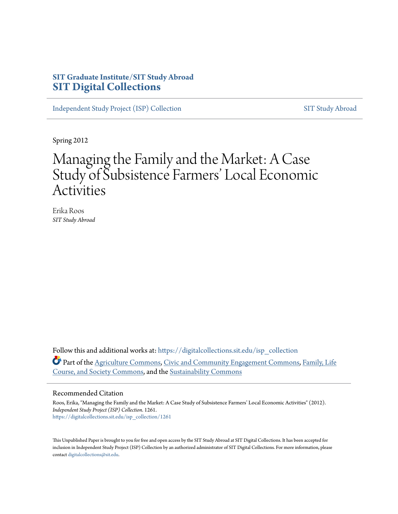## **SIT Graduate Institute/SIT Study Abroad [SIT Digital Collections](https://digitalcollections.sit.edu?utm_source=digitalcollections.sit.edu%2Fisp_collection%2F1261&utm_medium=PDF&utm_campaign=PDFCoverPages)**

[Independent Study Project \(ISP\) Collection](https://digitalcollections.sit.edu/isp_collection?utm_source=digitalcollections.sit.edu%2Fisp_collection%2F1261&utm_medium=PDF&utm_campaign=PDFCoverPages) [SIT Study Abroad](https://digitalcollections.sit.edu/study_abroad?utm_source=digitalcollections.sit.edu%2Fisp_collection%2F1261&utm_medium=PDF&utm_campaign=PDFCoverPages)

Spring 2012

# Managing the Family and the Market: A Case Study of Subsistence Farmers' Local Economic Activities

Erika Roos *SIT Study Abroad*

Follow this and additional works at: [https://digitalcollections.sit.edu/isp\\_collection](https://digitalcollections.sit.edu/isp_collection?utm_source=digitalcollections.sit.edu%2Fisp_collection%2F1261&utm_medium=PDF&utm_campaign=PDFCoverPages) Part of the [Agriculture Commons](http://network.bepress.com/hgg/discipline/1076?utm_source=digitalcollections.sit.edu%2Fisp_collection%2F1261&utm_medium=PDF&utm_campaign=PDFCoverPages), [Civic and Community Engagement Commons,](http://network.bepress.com/hgg/discipline/1028?utm_source=digitalcollections.sit.edu%2Fisp_collection%2F1261&utm_medium=PDF&utm_campaign=PDFCoverPages) [Family, Life](http://network.bepress.com/hgg/discipline/419?utm_source=digitalcollections.sit.edu%2Fisp_collection%2F1261&utm_medium=PDF&utm_campaign=PDFCoverPages) [Course, and Society Commons,](http://network.bepress.com/hgg/discipline/419?utm_source=digitalcollections.sit.edu%2Fisp_collection%2F1261&utm_medium=PDF&utm_campaign=PDFCoverPages) and the [Sustainability Commons](http://network.bepress.com/hgg/discipline/1031?utm_source=digitalcollections.sit.edu%2Fisp_collection%2F1261&utm_medium=PDF&utm_campaign=PDFCoverPages)

#### Recommended Citation

Roos, Erika, "Managing the Family and the Market: A Case Study of Subsistence Farmers' Local Economic Activities" (2012). *Independent Study Project (ISP) Collection*. 1261. [https://digitalcollections.sit.edu/isp\\_collection/1261](https://digitalcollections.sit.edu/isp_collection/1261?utm_source=digitalcollections.sit.edu%2Fisp_collection%2F1261&utm_medium=PDF&utm_campaign=PDFCoverPages)

This Unpublished Paper is brought to you for free and open access by the SIT Study Abroad at SIT Digital Collections. It has been accepted for inclusion in Independent Study Project (ISP) Collection by an authorized administrator of SIT Digital Collections. For more information, please contact [digitalcollections@sit.edu](mailto:digitalcollections@sit.edu).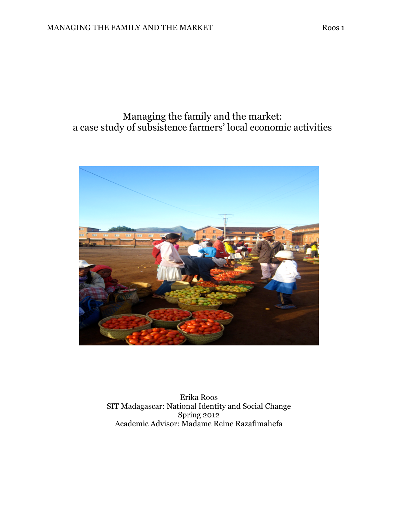## Managing the family and the market: a case study of subsistence farmers' local economic activities



Erika Roos SIT Madagascar: National Identity and Social Change Spring 2012 Academic Advisor: Madame Reine Razafimahefa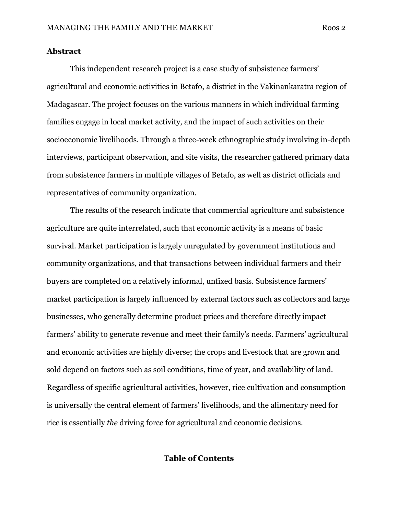#### Abstract

 This independent research project is a case study of subsistence farmers' agricultural and economic activities in Betafo, a district in the Vakinankaratra region of Madagascar. The project focuses on the various manners in which individual farming families engage in local market activity, and the impact of such activities on their socioeconomic livelihoods. Through a three-week ethnographic study involving in-depth interviews, participant observation, and site visits, the researcher gathered primary data from subsistence farmers in multiple villages of Betafo, as well as district officials and representatives of community organization.

 The results of the research indicate that commercial agriculture and subsistence agriculture are quite interrelated, such that economic activity is a means of basic survival. Market participation is largely unregulated by government institutions and community organizations, and that transactions between individual farmers and their buyers are completed on a relatively informal, unfixed basis. Subsistence farmers' market participation is largely influenced by external factors such as collectors and large businesses, who generally determine product prices and therefore directly impact farmers' ability to generate revenue and meet their family's needs. Farmers' agricultural and economic activities are highly diverse; the crops and livestock that are grown and sold depend on factors such as soil conditions, time of year, and availability of land. Regardless of specific agricultural activities, however, rice cultivation and consumption is universally the central element of farmers' livelihoods, and the alimentary need for rice is essentially the driving force for agricultural and economic decisions.

#### Table of Contents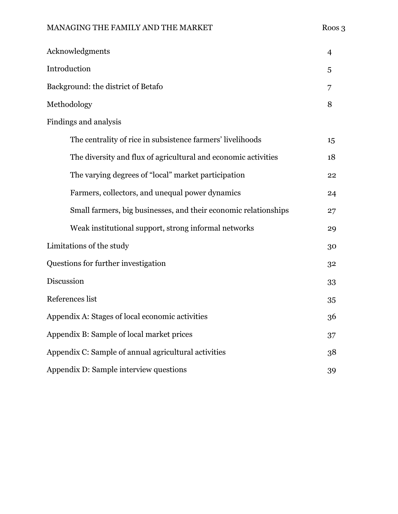## MANAGING THE FAMILY AND THE MARKET Roos 3

| Acknowledgments                                                 | $\overline{4}$ |  |  |  |  |
|-----------------------------------------------------------------|----------------|--|--|--|--|
| Introduction                                                    | 5              |  |  |  |  |
| Background: the district of Betafo                              | 7              |  |  |  |  |
| Methodology                                                     | 8              |  |  |  |  |
| Findings and analysis                                           |                |  |  |  |  |
| The centrality of rice in subsistence farmers' livelihoods      | 15             |  |  |  |  |
| The diversity and flux of agricultural and economic activities  | 18             |  |  |  |  |
| The varying degrees of "local" market participation             | 22             |  |  |  |  |
| Farmers, collectors, and unequal power dynamics                 | 24             |  |  |  |  |
| Small farmers, big businesses, and their economic relationships | 27             |  |  |  |  |
| Weak institutional support, strong informal networks            | 29             |  |  |  |  |
| Limitations of the study                                        | 30             |  |  |  |  |
| Questions for further investigation                             | 32             |  |  |  |  |
| Discussion                                                      | 33             |  |  |  |  |
| References list                                                 | 35             |  |  |  |  |
| Appendix A: Stages of local economic activities                 | 36             |  |  |  |  |
| Appendix B: Sample of local market prices                       | 37             |  |  |  |  |
| Appendix C: Sample of annual agricultural activities            |                |  |  |  |  |
| Appendix D: Sample interview questions                          |                |  |  |  |  |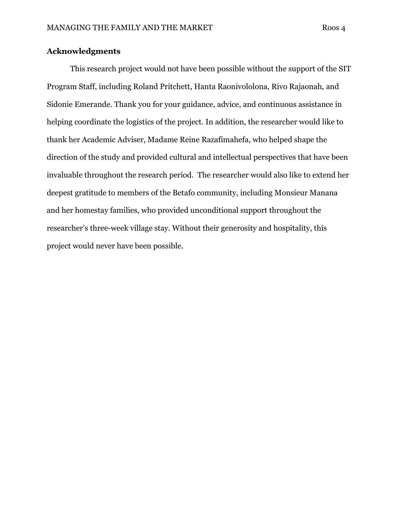#### Acknowledgments

 This research project would not have been possible without the support of the SIT Program Staff, including Roland Pritchett, Hanta Raonivololona, Rivo Rajaonah, and Sidonie Emerande. Thank you for your guidance, advice, and continuous assistance in helping coordinate the logistics of the project. In addition, the researcher would like to thank her Academic Adviser, Madame Reine Razafimahefa, who helped shape the direction of the study and provided cultural and intellectual perspectives that have been invaluable throughout the research period. The researcher would also like to extend her deepest gratitude to members of the Betafo community, including Monsieur Manana and her homestay families, who provided unconditional support throughout the researcher's three-week village stay. Without their generosity and hospitality, this project would never have been possible.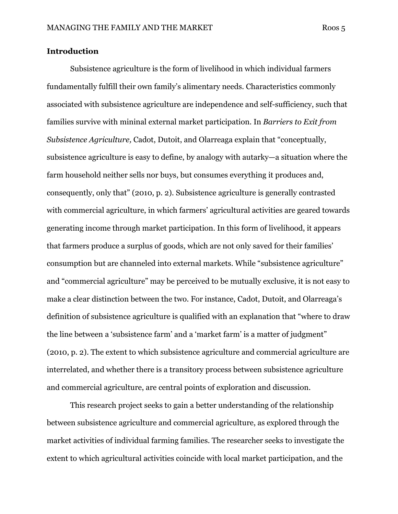#### Introduction

 Subsistence agriculture is the form of livelihood in which individual farmers fundamentally fulfill their own family's alimentary needs. Characteristics commonly associated with subsistence agriculture are independence and self-sufficiency, such that families survive with mininal external market participation. In Barriers to Exit from Subsistence Agriculture, Cadot, Dutoit, and Olarreaga explain that "conceptually, subsistence agriculture is easy to define, by analogy with autarky—a situation where the farm household neither sells nor buys, but consumes everything it produces and, consequently, only that" (2010, p. 2). Subsistence agriculture is generally contrasted with commercial agriculture, in which farmers' agricultural activities are geared towards generating income through market participation. In this form of livelihood, it appears that farmers produce a surplus of goods, which are not only saved for their families' consumption but are channeled into external markets. While "subsistence agriculture" and "commercial agriculture" may be perceived to be mutually exclusive, it is not easy to make a clear distinction between the two. For instance, Cadot, Dutoit, and Olarreaga's definition of subsistence agriculture is qualified with an explanation that "where to draw the line between a 'subsistence farm' and a 'market farm' is a matter of judgment" (2010, p. 2). The extent to which subsistence agriculture and commercial agriculture are interrelated, and whether there is a transitory process between subsistence agriculture and commercial agriculture, are central points of exploration and discussion.

 This research project seeks to gain a better understanding of the relationship between subsistence agriculture and commercial agriculture, as explored through the market activities of individual farming families. The researcher seeks to investigate the extent to which agricultural activities coincide with local market participation, and the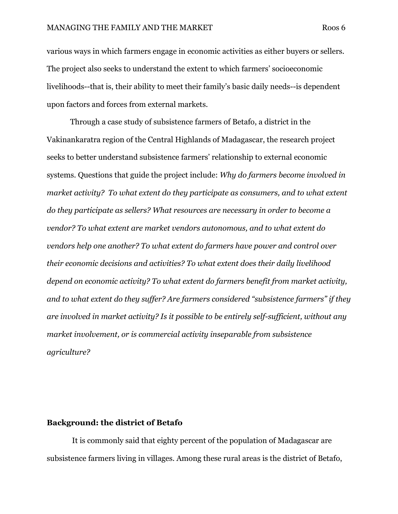various ways in which farmers engage in economic activities as either buyers or sellers. The project also seeks to understand the extent to which farmers' socioeconomic livelihoods--that is, their ability to meet their family's basic daily needs--is dependent upon factors and forces from external markets.

 Through a case study of subsistence farmers of Betafo, a district in the Vakinankaratra region of the Central Highlands of Madagascar, the research project seeks to better understand subsistence farmers' relationship to external economic systems. Questions that guide the project include: Why do farmers become involved in market activity? To what extent do they participate as consumers, and to what extent do they participate as sellers? What resources are necessary in order to become a vendor? To what extent are market vendors autonomous, and to what extent do vendors help one another? To what extent do farmers have power and control over their economic decisions and activities? To what extent does their daily livelihood depend on economic activity? To what extent do farmers benefit from market activity, and to what extent do they suffer? Are farmers considered "subsistence farmers" if they are involved in market activity? Is it possible to be entirely self-sufficient, without any market involvement, or is commercial activity inseparable from subsistence agriculture?

#### Background: the district of Betafo

 It is commonly said that eighty percent of the population of Madagascar are subsistence farmers living in villages. Among these rural areas is the district of Betafo,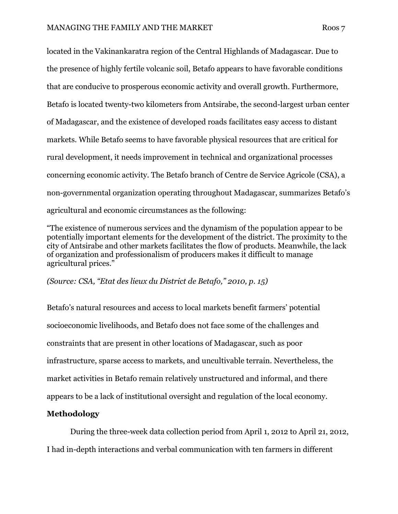located in the Vakinankaratra region of the Central Highlands of Madagascar. Due to the presence of highly fertile volcanic soil, Betafo appears to have favorable conditions that are conducive to prosperous economic activity and overall growth. Furthermore, Betafo is located twenty-two kilometers from Antsirabe, the second-largest urban center of Madagascar, and the existence of developed roads facilitates easy access to distant markets. While Betafo seems to have favorable physical resources that are critical for rural development, it needs improvement in technical and organizational processes concerning economic activity. The Betafo branch of Centre de Service Agricole (CSA), a non-governmental organization operating throughout Madagascar, summarizes Betafo's agricultural and economic circumstances as the following:

"The existence of numerous services and the dynamism of the population appear to be potentially important elements for the development of the district. The proximity to the city of Antsirabe and other markets facilitates the flow of products. Meanwhile, the lack of organization and professionalism of producers makes it difficult to manage agricultural prices."

(Source: CSA, "Etat des lieux du District de Betafo," 2010, p. 15)

Betafo's natural resources and access to local markets benefit farmers' potential socioeconomic livelihoods, and Betafo does not face some of the challenges and constraints that are present in other locations of Madagascar, such as poor infrastructure, sparse access to markets, and uncultivable terrain. Nevertheless, the market activities in Betafo remain relatively unstructured and informal, and there appears to be a lack of institutional oversight and regulation of the local economy.

## Methodology

 During the three-week data collection period from April 1, 2012 to April 21, 2012, I had in-depth interactions and verbal communication with ten farmers in different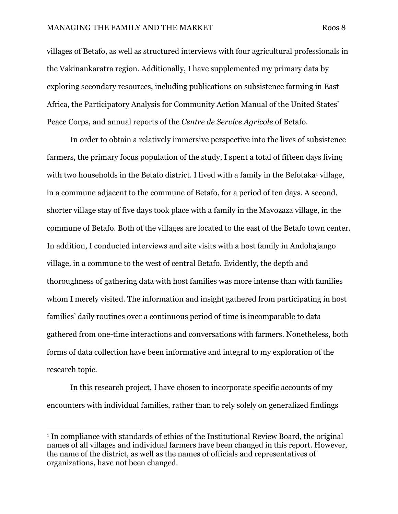#### MANAGING THE FAMILY AND THE MARKET Roos 8

villages of Betafo, as well as structured interviews with four agricultural professionals in the Vakinankaratra region. Additionally, I have supplemented my primary data by exploring secondary resources, including publications on subsistence farming in East Africa, the Participatory Analysis for Community Action Manual of the United States' Peace Corps, and annual reports of the Centre de Service Agricole of Betafo.

 In order to obtain a relatively immersive perspective into the lives of subsistence farmers, the primary focus population of the study, I spent a total of fifteen days living with two households in the Betafo district. I lived with a family in the Befotaka<sup>1</sup> village, in a commune adjacent to the commune of Betafo, for a period of ten days. A second, shorter village stay of five days took place with a family in the Mavozaza village, in the commune of Betafo. Both of the villages are located to the east of the Betafo town center. In addition, I conducted interviews and site visits with a host family in Andohajango village, in a commune to the west of central Betafo. Evidently, the depth and thoroughness of gathering data with host families was more intense than with families whom I merely visited. The information and insight gathered from participating in host families' daily routines over a continuous period of time is incomparable to data gathered from one-time interactions and conversations with farmers. Nonetheless, both forms of data collection have been informative and integral to my exploration of the research topic.

 In this research project, I have chosen to incorporate specific accounts of my encounters with individual families, rather than to rely solely on generalized findings

 $\overline{a}$ 

<sup>&</sup>lt;sup>1</sup> In compliance with standards of ethics of the Institutional Review Board, the original names of all villages and individual farmers have been changed in this report. However, the name of the district, as well as the names of officials and representatives of organizations, have not been changed.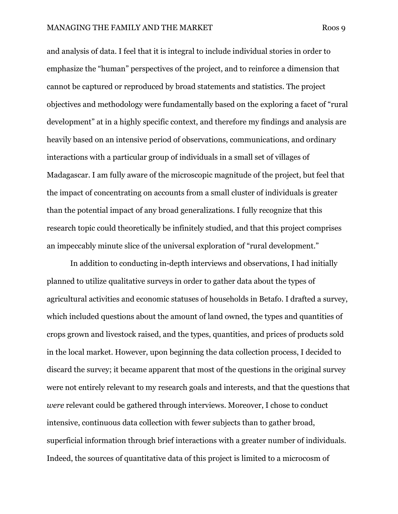and analysis of data. I feel that it is integral to include individual stories in order to emphasize the "human" perspectives of the project, and to reinforce a dimension that cannot be captured or reproduced by broad statements and statistics. The project objectives and methodology were fundamentally based on the exploring a facet of "rural development" at in a highly specific context, and therefore my findings and analysis are heavily based on an intensive period of observations, communications, and ordinary interactions with a particular group of individuals in a small set of villages of Madagascar. I am fully aware of the microscopic magnitude of the project, but feel that the impact of concentrating on accounts from a small cluster of individuals is greater than the potential impact of any broad generalizations. I fully recognize that this research topic could theoretically be infinitely studied, and that this project comprises an impeccably minute slice of the universal exploration of "rural development."

 In addition to conducting in-depth interviews and observations, I had initially planned to utilize qualitative surveys in order to gather data about the types of agricultural activities and economic statuses of households in Betafo. I drafted a survey, which included questions about the amount of land owned, the types and quantities of crops grown and livestock raised, and the types, quantities, and prices of products sold in the local market. However, upon beginning the data collection process, I decided to discard the survey; it became apparent that most of the questions in the original survey were not entirely relevant to my research goals and interests, and that the questions that were relevant could be gathered through interviews. Moreover, I chose to conduct intensive, continuous data collection with fewer subjects than to gather broad, superficial information through brief interactions with a greater number of individuals. Indeed, the sources of quantitative data of this project is limited to a microcosm of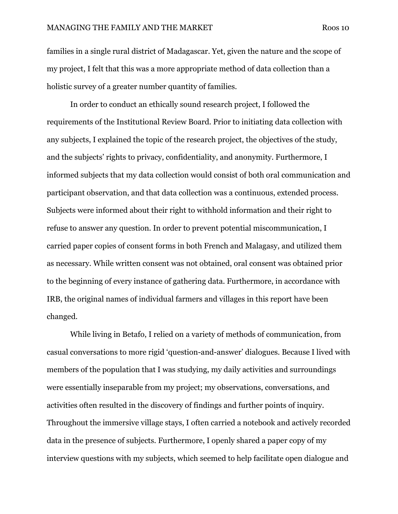#### MANAGING THE FAMILY AND THE MARKET Roos 10

families in a single rural district of Madagascar. Yet, given the nature and the scope of my project, I felt that this was a more appropriate method of data collection than a holistic survey of a greater number quantity of families.

 In order to conduct an ethically sound research project, I followed the requirements of the Institutional Review Board. Prior to initiating data collection with any subjects, I explained the topic of the research project, the objectives of the study, and the subjects' rights to privacy, confidentiality, and anonymity. Furthermore, I informed subjects that my data collection would consist of both oral communication and participant observation, and that data collection was a continuous, extended process. Subjects were informed about their right to withhold information and their right to refuse to answer any question. In order to prevent potential miscommunication, I carried paper copies of consent forms in both French and Malagasy, and utilized them as necessary. While written consent was not obtained, oral consent was obtained prior to the beginning of every instance of gathering data. Furthermore, in accordance with IRB, the original names of individual farmers and villages in this report have been changed.

 While living in Betafo, I relied on a variety of methods of communication, from casual conversations to more rigid 'question-and-answer' dialogues. Because I lived with members of the population that I was studying, my daily activities and surroundings were essentially inseparable from my project; my observations, conversations, and activities often resulted in the discovery of findings and further points of inquiry. Throughout the immersive village stays, I often carried a notebook and actively recorded data in the presence of subjects. Furthermore, I openly shared a paper copy of my interview questions with my subjects, which seemed to help facilitate open dialogue and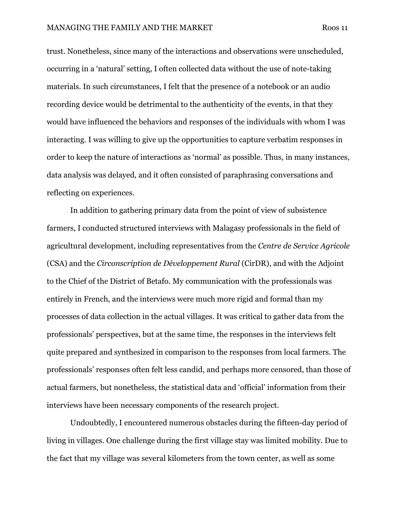trust. Nonetheless, since many of the interactions and observations were unscheduled, occurring in a 'natural' setting, I often collected data without the use of note-taking materials. In such circumstances, I felt that the presence of a notebook or an audio recording device would be detrimental to the authenticity of the events, in that they would have influenced the behaviors and responses of the individuals with whom I was interacting. I was willing to give up the opportunities to capture verbatim responses in order to keep the nature of interactions as 'normal' as possible. Thus, in many instances, data analysis was delayed, and it often consisted of paraphrasing conversations and reflecting on experiences.

 In addition to gathering primary data from the point of view of subsistence farmers, I conducted structured interviews with Malagasy professionals in the field of agricultural development, including representatives from the Centre de Service Agricole (CSA) and the Circonscription de Développement Rural (CirDR), and with the Adjoint to the Chief of the District of Betafo. My communication with the professionals was entirely in French, and the interviews were much more rigid and formal than my processes of data collection in the actual villages. It was critical to gather data from the professionals' perspectives, but at the same time, the responses in the interviews felt quite prepared and synthesized in comparison to the responses from local farmers. The professionals' responses often felt less candid, and perhaps more censored, than those of actual farmers, but nonetheless, the statistical data and 'official' information from their interviews have been necessary components of the research project.

 Undoubtedly, I encountered numerous obstacles during the fifteen-day period of living in villages. One challenge during the first village stay was limited mobility. Due to the fact that my village was several kilometers from the town center, as well as some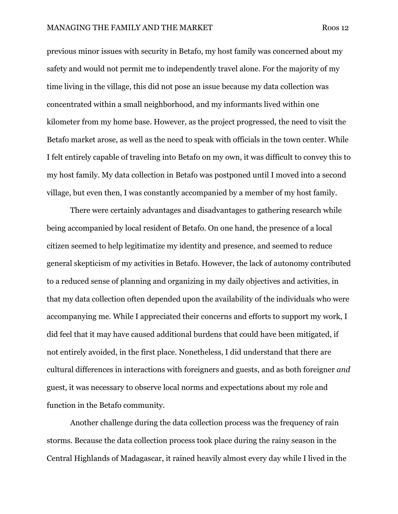previous minor issues with security in Betafo, my host family was concerned about my safety and would not permit me to independently travel alone. For the majority of my time living in the village, this did not pose an issue because my data collection was concentrated within a small neighborhood, and my informants lived within one kilometer from my home base. However, as the project progressed, the need to visit the Betafo market arose, as well as the need to speak with officials in the town center. While I felt entirely capable of traveling into Betafo on my own, it was difficult to convey this to my host family. My data collection in Betafo was postponed until I moved into a second village, but even then, I was constantly accompanied by a member of my host family.

 There were certainly advantages and disadvantages to gathering research while being accompanied by local resident of Betafo. On one hand, the presence of a local citizen seemed to help legitimatize my identity and presence, and seemed to reduce general skepticism of my activities in Betafo. However, the lack of autonomy contributed to a reduced sense of planning and organizing in my daily objectives and activities, in that my data collection often depended upon the availability of the individuals who were accompanying me. While I appreciated their concerns and efforts to support my work, I did feel that it may have caused additional burdens that could have been mitigated, if not entirely avoided, in the first place. Nonetheless, I did understand that there are cultural differences in interactions with foreigners and guests, and as both foreigner and guest, it was necessary to observe local norms and expectations about my role and function in the Betafo community.

 Another challenge during the data collection process was the frequency of rain storms. Because the data collection process took place during the rainy season in the Central Highlands of Madagascar, it rained heavily almost every day while I lived in the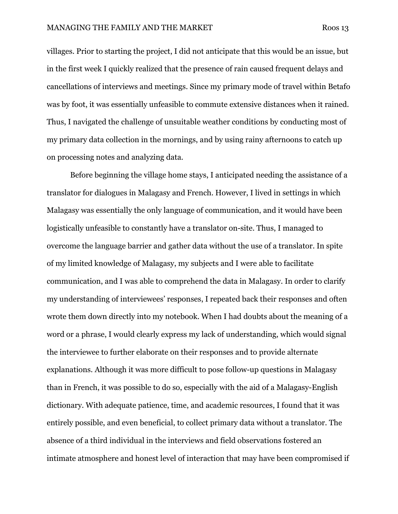villages. Prior to starting the project, I did not anticipate that this would be an issue, but in the first week I quickly realized that the presence of rain caused frequent delays and cancellations of interviews and meetings. Since my primary mode of travel within Betafo was by foot, it was essentially unfeasible to commute extensive distances when it rained. Thus, I navigated the challenge of unsuitable weather conditions by conducting most of my primary data collection in the mornings, and by using rainy afternoons to catch up on processing notes and analyzing data.

 Before beginning the village home stays, I anticipated needing the assistance of a translator for dialogues in Malagasy and French. However, I lived in settings in which Malagasy was essentially the only language of communication, and it would have been logistically unfeasible to constantly have a translator on-site. Thus, I managed to overcome the language barrier and gather data without the use of a translator. In spite of my limited knowledge of Malagasy, my subjects and I were able to facilitate communication, and I was able to comprehend the data in Malagasy. In order to clarify my understanding of interviewees' responses, I repeated back their responses and often wrote them down directly into my notebook. When I had doubts about the meaning of a word or a phrase, I would clearly express my lack of understanding, which would signal the interviewee to further elaborate on their responses and to provide alternate explanations. Although it was more difficult to pose follow-up questions in Malagasy than in French, it was possible to do so, especially with the aid of a Malagasy-English dictionary. With adequate patience, time, and academic resources, I found that it was entirely possible, and even beneficial, to collect primary data without a translator. The absence of a third individual in the interviews and field observations fostered an intimate atmosphere and honest level of interaction that may have been compromised if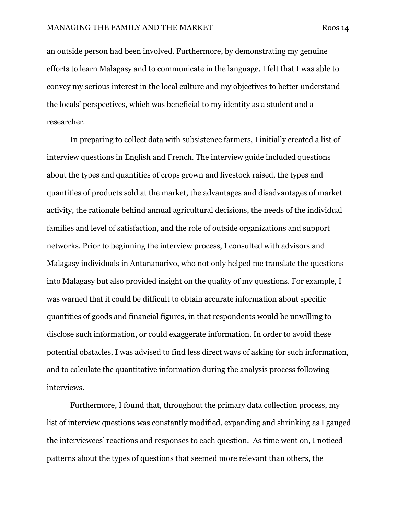an outside person had been involved. Furthermore, by demonstrating my genuine efforts to learn Malagasy and to communicate in the language, I felt that I was able to convey my serious interest in the local culture and my objectives to better understand the locals' perspectives, which was beneficial to my identity as a student and a researcher.

 In preparing to collect data with subsistence farmers, I initially created a list of interview questions in English and French. The interview guide included questions about the types and quantities of crops grown and livestock raised, the types and quantities of products sold at the market, the advantages and disadvantages of market activity, the rationale behind annual agricultural decisions, the needs of the individual families and level of satisfaction, and the role of outside organizations and support networks. Prior to beginning the interview process, I consulted with advisors and Malagasy individuals in Antananarivo, who not only helped me translate the questions into Malagasy but also provided insight on the quality of my questions. For example, I was warned that it could be difficult to obtain accurate information about specific quantities of goods and financial figures, in that respondents would be unwilling to disclose such information, or could exaggerate information. In order to avoid these potential obstacles, I was advised to find less direct ways of asking for such information, and to calculate the quantitative information during the analysis process following interviews.

 Furthermore, I found that, throughout the primary data collection process, my list of interview questions was constantly modified, expanding and shrinking as I gauged the interviewees' reactions and responses to each question. As time went on, I noticed patterns about the types of questions that seemed more relevant than others, the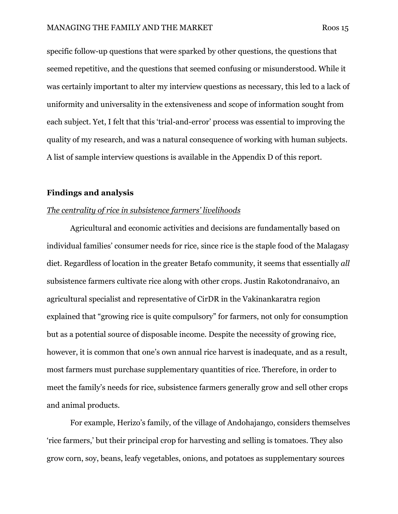specific follow-up questions that were sparked by other questions, the questions that seemed repetitive, and the questions that seemed confusing or misunderstood. While it was certainly important to alter my interview questions as necessary, this led to a lack of

uniformity and universality in the extensiveness and scope of information sought from each subject. Yet, I felt that this 'trial-and-error' process was essential to improving the quality of my research, and was a natural consequence of working with human subjects. A list of sample interview questions is available in the Appendix D of this report.

#### Findings and analysis

#### The centrality of rice in subsistence farmers' livelihoods

 Agricultural and economic activities and decisions are fundamentally based on individual families' consumer needs for rice, since rice is the staple food of the Malagasy diet. Regardless of location in the greater Betafo community, it seems that essentially all subsistence farmers cultivate rice along with other crops. Justin Rakotondranaivo, an agricultural specialist and representative of CirDR in the Vakinankaratra region explained that "growing rice is quite compulsory" for farmers, not only for consumption but as a potential source of disposable income. Despite the necessity of growing rice, however, it is common that one's own annual rice harvest is inadequate, and as a result, most farmers must purchase supplementary quantities of rice. Therefore, in order to meet the family's needs for rice, subsistence farmers generally grow and sell other crops and animal products.

 For example, Herizo's family, of the village of Andohajango, considers themselves 'rice farmers,' but their principal crop for harvesting and selling is tomatoes. They also grow corn, soy, beans, leafy vegetables, onions, and potatoes as supplementary sources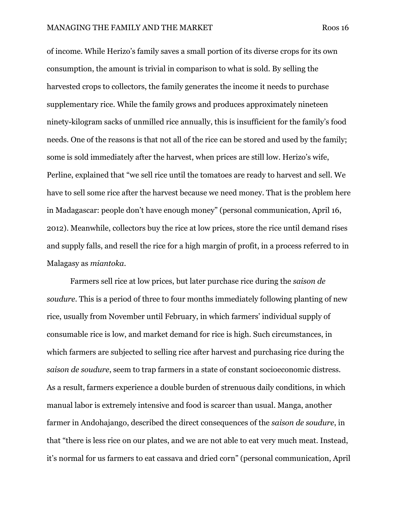of income. While Herizo's family saves a small portion of its diverse crops for its own consumption, the amount is trivial in comparison to what is sold. By selling the harvested crops to collectors, the family generates the income it needs to purchase supplementary rice. While the family grows and produces approximately nineteen ninety-kilogram sacks of unmilled rice annually, this is insufficient for the family's food needs. One of the reasons is that not all of the rice can be stored and used by the family; some is sold immediately after the harvest, when prices are still low. Herizo's wife, Perline, explained that "we sell rice until the tomatoes are ready to harvest and sell. We have to sell some rice after the harvest because we need money. That is the problem here in Madagascar: people don't have enough money" (personal communication, April 16, 2012). Meanwhile, collectors buy the rice at low prices, store the rice until demand rises and supply falls, and resell the rice for a high margin of profit, in a process referred to in Malagasy as miantoka.

 Farmers sell rice at low prices, but later purchase rice during the saison de soudure. This is a period of three to four months immediately following planting of new rice, usually from November until February, in which farmers' individual supply of consumable rice is low, and market demand for rice is high. Such circumstances, in which farmers are subjected to selling rice after harvest and purchasing rice during the saison de soudure, seem to trap farmers in a state of constant socioeconomic distress. As a result, farmers experience a double burden of strenuous daily conditions, in which manual labor is extremely intensive and food is scarcer than usual. Manga, another farmer in Andohajango, described the direct consequences of the saison de soudure, in that "there is less rice on our plates, and we are not able to eat very much meat. Instead, it's normal for us farmers to eat cassava and dried corn" (personal communication, April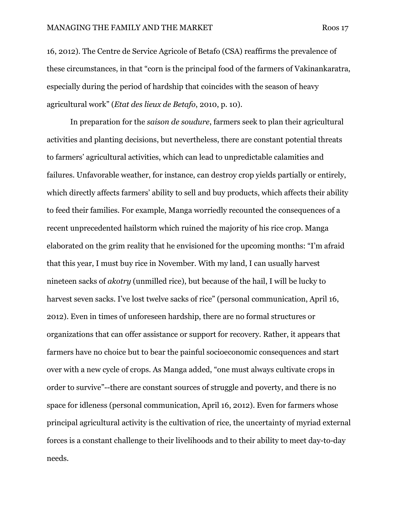16, 2012). The Centre de Service Agricole of Betafo (CSA) reaffirms the prevalence of these circumstances, in that "corn is the principal food of the farmers of Vakinankaratra, especially during the period of hardship that coincides with the season of heavy agricultural work" (Etat des lieux de Betafo, 2010, p. 10).

 In preparation for the saison de soudure, farmers seek to plan their agricultural activities and planting decisions, but nevertheless, there are constant potential threats to farmers' agricultural activities, which can lead to unpredictable calamities and failures. Unfavorable weather, for instance, can destroy crop yields partially or entirely, which directly affects farmers' ability to sell and buy products, which affects their ability to feed their families. For example, Manga worriedly recounted the consequences of a recent unprecedented hailstorm which ruined the majority of his rice crop. Manga elaborated on the grim reality that he envisioned for the upcoming months: "I'm afraid that this year, I must buy rice in November. With my land, I can usually harvest nineteen sacks of akotry (unmilled rice), but because of the hail, I will be lucky to harvest seven sacks. I've lost twelve sacks of rice" (personal communication, April 16, 2012). Even in times of unforeseen hardship, there are no formal structures or organizations that can offer assistance or support for recovery. Rather, it appears that farmers have no choice but to bear the painful socioeconomic consequences and start over with a new cycle of crops. As Manga added, "one must always cultivate crops in order to survive"--there are constant sources of struggle and poverty, and there is no space for idleness (personal communication, April 16, 2012). Even for farmers whose principal agricultural activity is the cultivation of rice, the uncertainty of myriad external forces is a constant challenge to their livelihoods and to their ability to meet day-to-day needs.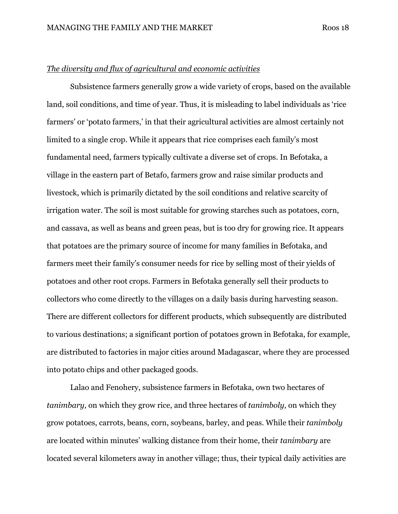#### The diversity and flux of agricultural and economic activities

 Subsistence farmers generally grow a wide variety of crops, based on the available land, soil conditions, and time of year. Thus, it is misleading to label individuals as 'rice farmers' or 'potato farmers,' in that their agricultural activities are almost certainly not limited to a single crop. While it appears that rice comprises each family's most fundamental need, farmers typically cultivate a diverse set of crops. In Befotaka, a village in the eastern part of Betafo, farmers grow and raise similar products and livestock, which is primarily dictated by the soil conditions and relative scarcity of irrigation water. The soil is most suitable for growing starches such as potatoes, corn, and cassava, as well as beans and green peas, but is too dry for growing rice. It appears that potatoes are the primary source of income for many families in Befotaka, and farmers meet their family's consumer needs for rice by selling most of their yields of potatoes and other root crops. Farmers in Befotaka generally sell their products to collectors who come directly to the villages on a daily basis during harvesting season. There are different collectors for different products, which subsequently are distributed to various destinations; a significant portion of potatoes grown in Befotaka, for example, are distributed to factories in major cities around Madagascar, where they are processed into potato chips and other packaged goods.

 Lalao and Fenohery, subsistence farmers in Befotaka, own two hectares of tanimbary, on which they grow rice, and three hectares of tanimboly, on which they grow potatoes, carrots, beans, corn, soybeans, barley, and peas. While their tanimboly are located within minutes' walking distance from their home, their tanimbary are located several kilometers away in another village; thus, their typical daily activities are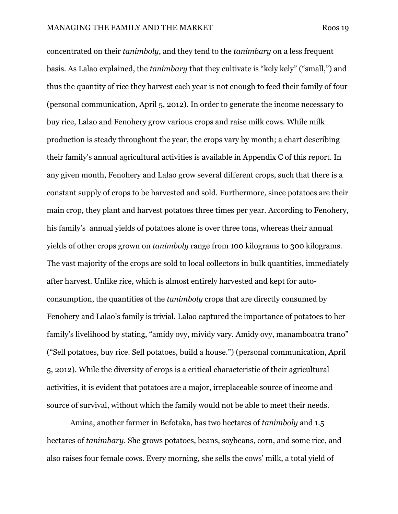concentrated on their tanimboly, and they tend to the tanimbary on a less frequent basis. As Lalao explained, the tanimbary that they cultivate is "kely kely" ("small,") and thus the quantity of rice they harvest each year is not enough to feed their family of four (personal communication, April 5, 2012). In order to generate the income necessary to buy rice, Lalao and Fenohery grow various crops and raise milk cows. While milk production is steady throughout the year, the crops vary by month; a chart describing their family's annual agricultural activities is available in Appendix C of this report. In any given month, Fenohery and Lalao grow several different crops, such that there is a constant supply of crops to be harvested and sold. Furthermore, since potatoes are their main crop, they plant and harvest potatoes three times per year. According to Fenohery, his family's annual yields of potatoes alone is over three tons, whereas their annual yields of other crops grown on tanimboly range from 100 kilograms to 300 kilograms. The vast majority of the crops are sold to local collectors in bulk quantities, immediately after harvest. Unlike rice, which is almost entirely harvested and kept for autoconsumption, the quantities of the tanimboly crops that are directly consumed by Fenohery and Lalao's family is trivial. Lalao captured the importance of potatoes to her family's livelihood by stating, "amidy ovy, mividy vary. Amidy ovy, manamboatra trano" ("Sell potatoes, buy rice. Sell potatoes, build a house.") (personal communication, April 5, 2012). While the diversity of crops is a critical characteristic of their agricultural activities, it is evident that potatoes are a major, irreplaceable source of income and source of survival, without which the family would not be able to meet their needs.

 Amina, another farmer in Befotaka, has two hectares of tanimboly and 1.5 hectares of tanimbary. She grows potatoes, beans, soybeans, corn, and some rice, and also raises four female cows. Every morning, she sells the cows' milk, a total yield of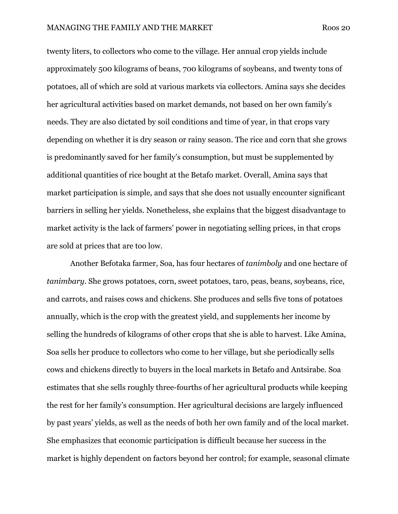twenty liters, to collectors who come to the village. Her annual crop yields include approximately 500 kilograms of beans, 700 kilograms of soybeans, and twenty tons of potatoes, all of which are sold at various markets via collectors. Amina says she decides her agricultural activities based on market demands, not based on her own family's needs. They are also dictated by soil conditions and time of year, in that crops vary depending on whether it is dry season or rainy season. The rice and corn that she grows is predominantly saved for her family's consumption, but must be supplemented by additional quantities of rice bought at the Betafo market. Overall, Amina says that market participation is simple, and says that she does not usually encounter significant barriers in selling her yields. Nonetheless, she explains that the biggest disadvantage to market activity is the lack of farmers' power in negotiating selling prices, in that crops are sold at prices that are too low.

 Another Befotaka farmer, Soa, has four hectares of tanimboly and one hectare of tanimbary. She grows potatoes, corn, sweet potatoes, taro, peas, beans, soybeans, rice, and carrots, and raises cows and chickens. She produces and sells five tons of potatoes annually, which is the crop with the greatest yield, and supplements her income by selling the hundreds of kilograms of other crops that she is able to harvest. Like Amina, Soa sells her produce to collectors who come to her village, but she periodically sells cows and chickens directly to buyers in the local markets in Betafo and Antsirabe. Soa estimates that she sells roughly three-fourths of her agricultural products while keeping the rest for her family's consumption. Her agricultural decisions are largely influenced by past years' yields, as well as the needs of both her own family and of the local market. She emphasizes that economic participation is difficult because her success in the market is highly dependent on factors beyond her control; for example, seasonal climate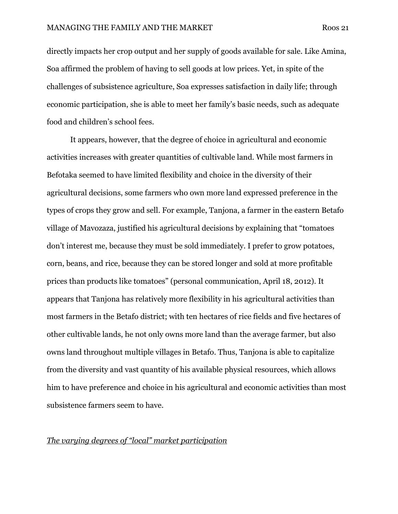directly impacts her crop output and her supply of goods available for sale. Like Amina, Soa affirmed the problem of having to sell goods at low prices. Yet, in spite of the challenges of subsistence agriculture, Soa expresses satisfaction in daily life; through economic participation, she is able to meet her family's basic needs, such as adequate food and children's school fees.

 It appears, however, that the degree of choice in agricultural and economic activities increases with greater quantities of cultivable land. While most farmers in Befotaka seemed to have limited flexibility and choice in the diversity of their agricultural decisions, some farmers who own more land expressed preference in the types of crops they grow and sell. For example, Tanjona, a farmer in the eastern Betafo village of Mavozaza, justified his agricultural decisions by explaining that "tomatoes don't interest me, because they must be sold immediately. I prefer to grow potatoes, corn, beans, and rice, because they can be stored longer and sold at more profitable prices than products like tomatoes" (personal communication, April 18, 2012). It appears that Tanjona has relatively more flexibility in his agricultural activities than most farmers in the Betafo district; with ten hectares of rice fields and five hectares of other cultivable lands, he not only owns more land than the average farmer, but also owns land throughout multiple villages in Betafo. Thus, Tanjona is able to capitalize from the diversity and vast quantity of his available physical resources, which allows him to have preference and choice in his agricultural and economic activities than most subsistence farmers seem to have.

#### The varying degrees of "local" market participation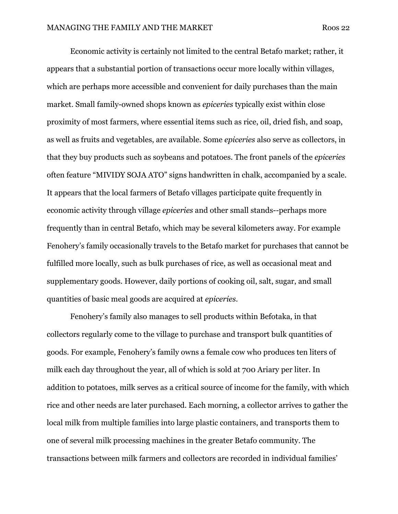Economic activity is certainly not limited to the central Betafo market; rather, it appears that a substantial portion of transactions occur more locally within villages, which are perhaps more accessible and convenient for daily purchases than the main market. Small family-owned shops known as epiceries typically exist within close proximity of most farmers, where essential items such as rice, oil, dried fish, and soap, as well as fruits and vegetables, are available. Some epiceries also serve as collectors, in that they buy products such as soybeans and potatoes. The front panels of the epiceries often feature "MIVIDY SOJA ATO" signs handwritten in chalk, accompanied by a scale. It appears that the local farmers of Betafo villages participate quite frequently in economic activity through village epiceries and other small stands--perhaps more frequently than in central Betafo, which may be several kilometers away. For example Fenohery's family occasionally travels to the Betafo market for purchases that cannot be fulfilled more locally, such as bulk purchases of rice, as well as occasional meat and supplementary goods. However, daily portions of cooking oil, salt, sugar, and small quantities of basic meal goods are acquired at epiceries.

 Fenohery's family also manages to sell products within Befotaka, in that collectors regularly come to the village to purchase and transport bulk quantities of goods. For example, Fenohery's family owns a female cow who produces ten liters of milk each day throughout the year, all of which is sold at 700 Ariary per liter. In addition to potatoes, milk serves as a critical source of income for the family, with which rice and other needs are later purchased. Each morning, a collector arrives to gather the local milk from multiple families into large plastic containers, and transports them to one of several milk processing machines in the greater Betafo community. The transactions between milk farmers and collectors are recorded in individual families'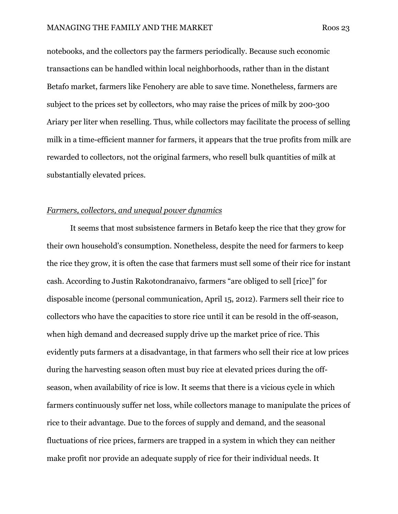notebooks, and the collectors pay the farmers periodically. Because such economic transactions can be handled within local neighborhoods, rather than in the distant Betafo market, farmers like Fenohery are able to save time. Nonetheless, farmers are subject to the prices set by collectors, who may raise the prices of milk by 200-300 Ariary per liter when reselling. Thus, while collectors may facilitate the process of selling milk in a time-efficient manner for farmers, it appears that the true profits from milk are rewarded to collectors, not the original farmers, who resell bulk quantities of milk at substantially elevated prices.

#### Farmers, collectors, and unequal power dynamics

 It seems that most subsistence farmers in Betafo keep the rice that they grow for their own household's consumption. Nonetheless, despite the need for farmers to keep the rice they grow, it is often the case that farmers must sell some of their rice for instant cash. According to Justin Rakotondranaivo, farmers "are obliged to sell [rice]" for disposable income (personal communication, April 15, 2012). Farmers sell their rice to collectors who have the capacities to store rice until it can be resold in the off-season, when high demand and decreased supply drive up the market price of rice. This evidently puts farmers at a disadvantage, in that farmers who sell their rice at low prices during the harvesting season often must buy rice at elevated prices during the offseason, when availability of rice is low. It seems that there is a vicious cycle in which farmers continuously suffer net loss, while collectors manage to manipulate the prices of rice to their advantage. Due to the forces of supply and demand, and the seasonal fluctuations of rice prices, farmers are trapped in a system in which they can neither make profit nor provide an adequate supply of rice for their individual needs. It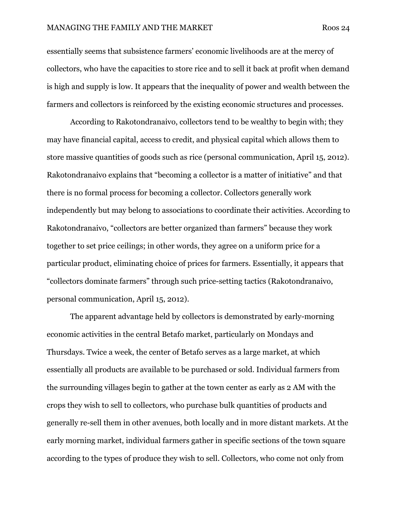essentially seems that subsistence farmers' economic livelihoods are at the mercy of collectors, who have the capacities to store rice and to sell it back at profit when demand is high and supply is low. It appears that the inequality of power and wealth between the farmers and collectors is reinforced by the existing economic structures and processes.

 According to Rakotondranaivo, collectors tend to be wealthy to begin with; they may have financial capital, access to credit, and physical capital which allows them to store massive quantities of goods such as rice (personal communication, April 15, 2012). Rakotondranaivo explains that "becoming a collector is a matter of initiative" and that there is no formal process for becoming a collector. Collectors generally work independently but may belong to associations to coordinate their activities. According to Rakotondranaivo, "collectors are better organized than farmers" because they work together to set price ceilings; in other words, they agree on a uniform price for a particular product, eliminating choice of prices for farmers. Essentially, it appears that "collectors dominate farmers" through such price-setting tactics (Rakotondranaivo, personal communication, April 15, 2012).

 The apparent advantage held by collectors is demonstrated by early-morning economic activities in the central Betafo market, particularly on Mondays and Thursdays. Twice a week, the center of Betafo serves as a large market, at which essentially all products are available to be purchased or sold. Individual farmers from the surrounding villages begin to gather at the town center as early as 2 AM with the crops they wish to sell to collectors, who purchase bulk quantities of products and generally re-sell them in other avenues, both locally and in more distant markets. At the early morning market, individual farmers gather in specific sections of the town square according to the types of produce they wish to sell. Collectors, who come not only from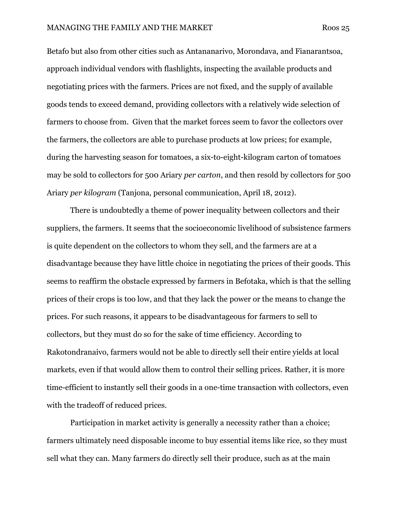Betafo but also from other cities such as Antananarivo, Morondava, and Fianarantsoa, approach individual vendors with flashlights, inspecting the available products and negotiating prices with the farmers. Prices are not fixed, and the supply of available goods tends to exceed demand, providing collectors with a relatively wide selection of farmers to choose from. Given that the market forces seem to favor the collectors over the farmers, the collectors are able to purchase products at low prices; for example, during the harvesting season for tomatoes, a six-to-eight-kilogram carton of tomatoes may be sold to collectors for 500 Ariary per carton, and then resold by collectors for 500 Ariary per kilogram (Tanjona, personal communication, April 18, 2012).

 There is undoubtedly a theme of power inequality between collectors and their suppliers, the farmers. It seems that the socioeconomic livelihood of subsistence farmers is quite dependent on the collectors to whom they sell, and the farmers are at a disadvantage because they have little choice in negotiating the prices of their goods. This seems to reaffirm the obstacle expressed by farmers in Befotaka, which is that the selling prices of their crops is too low, and that they lack the power or the means to change the prices. For such reasons, it appears to be disadvantageous for farmers to sell to collectors, but they must do so for the sake of time efficiency. According to Rakotondranaivo, farmers would not be able to directly sell their entire yields at local markets, even if that would allow them to control their selling prices. Rather, it is more time-efficient to instantly sell their goods in a one-time transaction with collectors, even with the tradeoff of reduced prices.

 Participation in market activity is generally a necessity rather than a choice; farmers ultimately need disposable income to buy essential items like rice, so they must sell what they can. Many farmers do directly sell their produce, such as at the main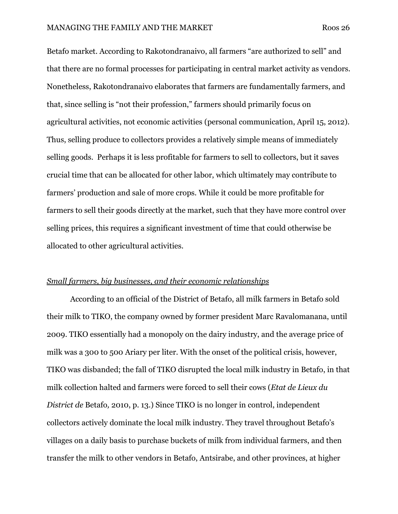Betafo market. According to Rakotondranaivo, all farmers "are authorized to sell" and that there are no formal processes for participating in central market activity as vendors. Nonetheless, Rakotondranaivo elaborates that farmers are fundamentally farmers, and that, since selling is "not their profession," farmers should primarily focus on agricultural activities, not economic activities (personal communication, April 15, 2012). Thus, selling produce to collectors provides a relatively simple means of immediately selling goods. Perhaps it is less profitable for farmers to sell to collectors, but it saves crucial time that can be allocated for other labor, which ultimately may contribute to farmers' production and sale of more crops. While it could be more profitable for farmers to sell their goods directly at the market, such that they have more control over selling prices, this requires a significant investment of time that could otherwise be allocated to other agricultural activities.

#### Small farmers, big businesses, and their economic relationships

 According to an official of the District of Betafo, all milk farmers in Betafo sold their milk to TIKO, the company owned by former president Marc Ravalomanana, until 2009. TIKO essentially had a monopoly on the dairy industry, and the average price of milk was a 300 to 500 Ariary per liter. With the onset of the political crisis, however, TIKO was disbanded; the fall of TIKO disrupted the local milk industry in Betafo, in that milk collection halted and farmers were forced to sell their cows (Etat de Lieux du District de Betafo, 2010, p. 13.) Since TIKO is no longer in control, independent collectors actively dominate the local milk industry. They travel throughout Betafo's villages on a daily basis to purchase buckets of milk from individual farmers, and then transfer the milk to other vendors in Betafo, Antsirabe, and other provinces, at higher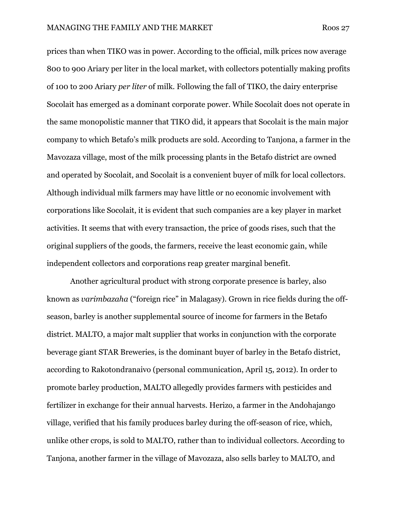prices than when TIKO was in power. According to the official, milk prices now average 800 to 900 Ariary per liter in the local market, with collectors potentially making profits of 100 to 200 Ariary per liter of milk. Following the fall of TIKO, the dairy enterprise Socolait has emerged as a dominant corporate power. While Socolait does not operate in the same monopolistic manner that TIKO did, it appears that Socolait is the main major company to which Betafo's milk products are sold. According to Tanjona, a farmer in the Mavozaza village, most of the milk processing plants in the Betafo district are owned and operated by Socolait, and Socolait is a convenient buyer of milk for local collectors. Although individual milk farmers may have little or no economic involvement with corporations like Socolait, it is evident that such companies are a key player in market activities. It seems that with every transaction, the price of goods rises, such that the original suppliers of the goods, the farmers, receive the least economic gain, while independent collectors and corporations reap greater marginal benefit.

 Another agricultural product with strong corporate presence is barley, also known as varimbazaha ("foreign rice" in Malagasy). Grown in rice fields during the offseason, barley is another supplemental source of income for farmers in the Betafo district. MALTO, a major malt supplier that works in conjunction with the corporate beverage giant STAR Breweries, is the dominant buyer of barley in the Betafo district, according to Rakotondranaivo (personal communication, April 15, 2012). In order to promote barley production, MALTO allegedly provides farmers with pesticides and fertilizer in exchange for their annual harvests. Herizo, a farmer in the Andohajango village, verified that his family produces barley during the off-season of rice, which, unlike other crops, is sold to MALTO, rather than to individual collectors. According to Tanjona, another farmer in the village of Mavozaza, also sells barley to MALTO, and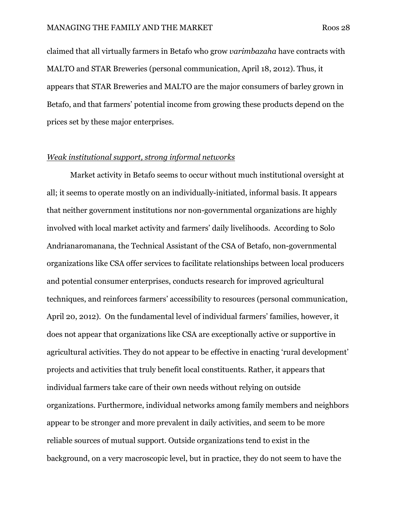claimed that all virtually farmers in Betafo who grow varimbazaha have contracts with MALTO and STAR Breweries (personal communication, April 18, 2012). Thus, it appears that STAR Breweries and MALTO are the major consumers of barley grown in Betafo, and that farmers' potential income from growing these products depend on the prices set by these major enterprises.

#### Weak institutional support, strong informal networks

 Market activity in Betafo seems to occur without much institutional oversight at all; it seems to operate mostly on an individually-initiated, informal basis. It appears that neither government institutions nor non-governmental organizations are highly involved with local market activity and farmers' daily livelihoods. According to Solo Andrianaromanana, the Technical Assistant of the CSA of Betafo, non-governmental organizations like CSA offer services to facilitate relationships between local producers and potential consumer enterprises, conducts research for improved agricultural techniques, and reinforces farmers' accessibility to resources (personal communication, April 20, 2012). On the fundamental level of individual farmers' families, however, it does not appear that organizations like CSA are exceptionally active or supportive in agricultural activities. They do not appear to be effective in enacting 'rural development' projects and activities that truly benefit local constituents. Rather, it appears that individual farmers take care of their own needs without relying on outside organizations. Furthermore, individual networks among family members and neighbors appear to be stronger and more prevalent in daily activities, and seem to be more reliable sources of mutual support. Outside organizations tend to exist in the background, on a very macroscopic level, but in practice, they do not seem to have the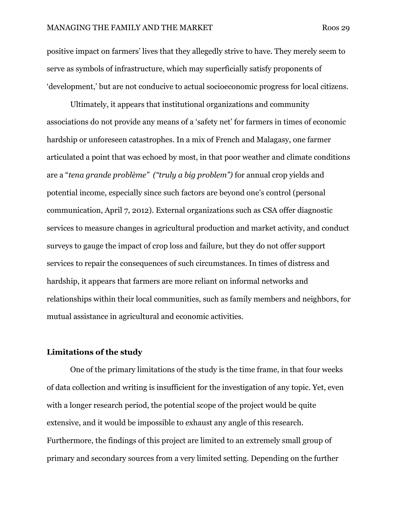positive impact on farmers' lives that they allegedly strive to have. They merely seem to serve as symbols of infrastructure, which may superficially satisfy proponents of 'development,' but are not conducive to actual socioeconomic progress for local citizens.

 Ultimately, it appears that institutional organizations and community associations do not provide any means of a 'safety net' for farmers in times of economic hardship or unforeseen catastrophes. In a mix of French and Malagasy, one farmer articulated a point that was echoed by most, in that poor weather and climate conditions are a "tena grande problème" ("truly a big problem") for annual crop yields and potential income, especially since such factors are beyond one's control (personal communication, April 7, 2012). External organizations such as CSA offer diagnostic services to measure changes in agricultural production and market activity, and conduct surveys to gauge the impact of crop loss and failure, but they do not offer support services to repair the consequences of such circumstances. In times of distress and hardship, it appears that farmers are more reliant on informal networks and relationships within their local communities, such as family members and neighbors, for mutual assistance in agricultural and economic activities.

#### Limitations of the study

 One of the primary limitations of the study is the time frame, in that four weeks of data collection and writing is insufficient for the investigation of any topic. Yet, even with a longer research period, the potential scope of the project would be quite extensive, and it would be impossible to exhaust any angle of this research. Furthermore, the findings of this project are limited to an extremely small group of primary and secondary sources from a very limited setting. Depending on the further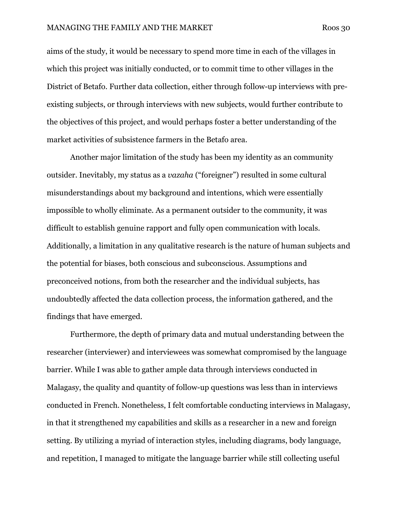#### MANAGING THE FAMILY AND THE MARKET Roos 30

aims of the study, it would be necessary to spend more time in each of the villages in which this project was initially conducted, or to commit time to other villages in the District of Betafo. Further data collection, either through follow-up interviews with preexisting subjects, or through interviews with new subjects, would further contribute to the objectives of this project, and would perhaps foster a better understanding of the market activities of subsistence farmers in the Betafo area.

 Another major limitation of the study has been my identity as an community outsider. Inevitably, my status as a vazaha ("foreigner") resulted in some cultural misunderstandings about my background and intentions, which were essentially impossible to wholly eliminate. As a permanent outsider to the community, it was difficult to establish genuine rapport and fully open communication with locals. Additionally, a limitation in any qualitative research is the nature of human subjects and the potential for biases, both conscious and subconscious. Assumptions and preconceived notions, from both the researcher and the individual subjects, has undoubtedly affected the data collection process, the information gathered, and the findings that have emerged.

 Furthermore, the depth of primary data and mutual understanding between the researcher (interviewer) and interviewees was somewhat compromised by the language barrier. While I was able to gather ample data through interviews conducted in Malagasy, the quality and quantity of follow-up questions was less than in interviews conducted in French. Nonetheless, I felt comfortable conducting interviews in Malagasy, in that it strengthened my capabilities and skills as a researcher in a new and foreign setting. By utilizing a myriad of interaction styles, including diagrams, body language, and repetition, I managed to mitigate the language barrier while still collecting useful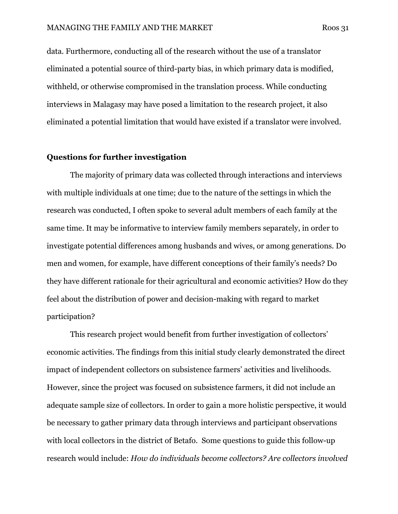data. Furthermore, conducting all of the research without the use of a translator eliminated a potential source of third-party bias, in which primary data is modified, withheld, or otherwise compromised in the translation process. While conducting interviews in Malagasy may have posed a limitation to the research project, it also eliminated a potential limitation that would have existed if a translator were involved.

### Questions for further investigation

The majority of primary data was collected through interactions and interviews with multiple individuals at one time; due to the nature of the settings in which the research was conducted, I often spoke to several adult members of each family at the same time. It may be informative to interview family members separately, in order to investigate potential differences among husbands and wives, or among generations. Do men and women, for example, have different conceptions of their family's needs? Do they have different rationale for their agricultural and economic activities? How do they feel about the distribution of power and decision-making with regard to market participation?

 This research project would benefit from further investigation of collectors' economic activities. The findings from this initial study clearly demonstrated the direct impact of independent collectors on subsistence farmers' activities and livelihoods. However, since the project was focused on subsistence farmers, it did not include an adequate sample size of collectors. In order to gain a more holistic perspective, it would be necessary to gather primary data through interviews and participant observations with local collectors in the district of Betafo. Some questions to guide this follow-up research would include: How do individuals become collectors? Are collectors involved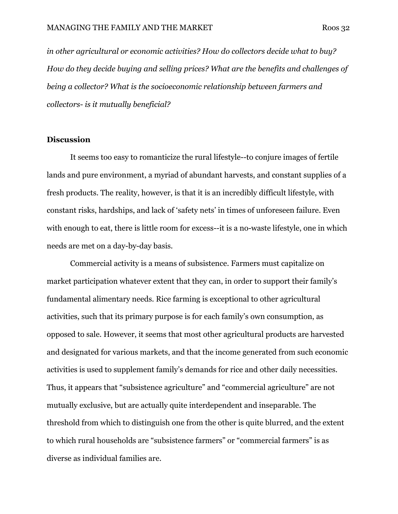in other agricultural or economic activities? How do collectors decide what to buy? How do they decide buying and selling prices? What are the benefits and challenges of being a collector? What is the socioeconomic relationship between farmers and collectors- is it mutually beneficial?

#### **Discussion**

 It seems too easy to romanticize the rural lifestyle--to conjure images of fertile lands and pure environment, a myriad of abundant harvests, and constant supplies of a fresh products. The reality, however, is that it is an incredibly difficult lifestyle, with constant risks, hardships, and lack of 'safety nets' in times of unforeseen failure. Even with enough to eat, there is little room for excess--it is a no-waste lifestyle, one in which needs are met on a day-by-day basis.

 Commercial activity is a means of subsistence. Farmers must capitalize on market participation whatever extent that they can, in order to support their family's fundamental alimentary needs. Rice farming is exceptional to other agricultural activities, such that its primary purpose is for each family's own consumption, as opposed to sale. However, it seems that most other agricultural products are harvested and designated for various markets, and that the income generated from such economic activities is used to supplement family's demands for rice and other daily necessities. Thus, it appears that "subsistence agriculture" and "commercial agriculture" are not mutually exclusive, but are actually quite interdependent and inseparable. The threshold from which to distinguish one from the other is quite blurred, and the extent to which rural households are "subsistence farmers" or "commercial farmers" is as diverse as individual families are.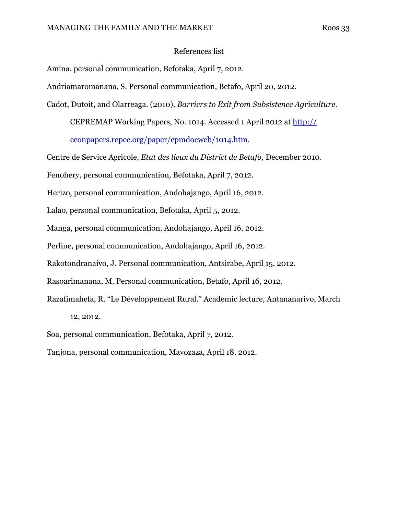#### References list

Amina, personal communication, Befotaka, April 7, 2012.

Andriamaromanana, S. Personal communication, Betafo, April 20, 2012.

Cadot, Dutoit, and Olarreaga. (2010). Barriers to Exit from Subsistence Agriculture.

CEPREMAP Working Papers, No. 1014. Accessed 1 April 2012 at http://

econpapers.repec.org/paper/cpmdocweb/1014.htm.

Centre de Service Agricole, Etat des lieux du District de Betafo, December 2010.

Fenohery, personal communication, Befotaka, April 7, 2012.

Herizo, personal communication, Andohajango, April 16, 2012.

Lalao, personal communication, Befotaka, April 5, 2012.

Manga, personal communication, Andohajango, April 16, 2012.

Perline, personal communication, Andohajango, April 16, 2012.

Rakotondranaivo, J. Personal communication, Antsirabe, April 15, 2012.

Rasoarimanana, M. Personal communication, Betafo, April 16, 2012.

Razafimahefa, R. "Le Développement Rural." Academic lecture, Antananarivo, March 12, 2012.

Soa, personal communication, Befotaka, April 7, 2012.

Tanjona, personal communication, Mavozaza, April 18, 2012.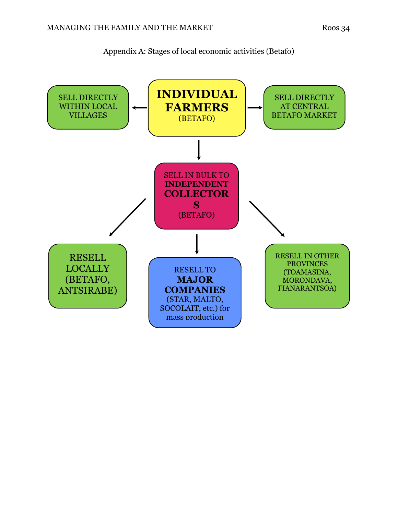

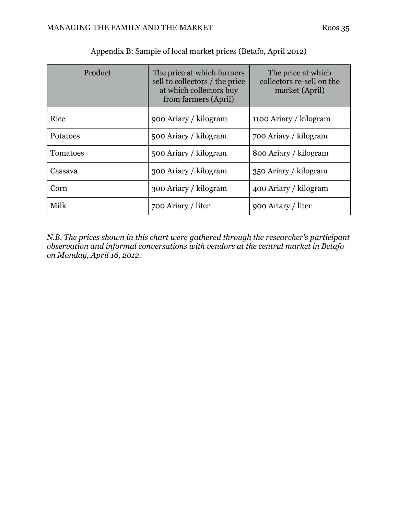| Product  | The price at which farmers<br>sell to collectors / the price<br>at which collectors buy<br>from farmers (April) | The price at which<br>collectors re-sell on the<br>market (April) |
|----------|-----------------------------------------------------------------------------------------------------------------|-------------------------------------------------------------------|
| Rice     | 900 Ariary / kilogram                                                                                           | 1100 Ariary / kilogram                                            |
| Potatoes | 500 Ariary / kilogram                                                                                           | 700 Ariary / kilogram                                             |
| Tomatoes | 500 Ariary / kilogram                                                                                           | 800 Ariary / kilogram                                             |
| Cassava  | 300 Ariary / kilogram                                                                                           | 350 Ariary / kilogram                                             |
| Corn     | 300 Ariary / kilogram                                                                                           | 400 Ariary / kilogram                                             |
| Milk     | 700 Ariary / liter                                                                                              | 900 Ariary / liter                                                |

Appendix B: Sample of local market prices (Betafo, April 2012)

N.B. The prices shown in this chart were gathered through the researcher's participant observation and informal conversations with vendors at the central market in Betafo on Monday, April 16, 2012.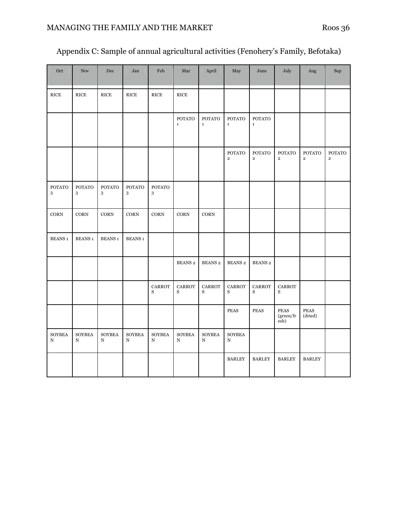| Appendix C: Sample of annual agricultural activities (Fenohery's Family, Befotaka) |  |  |
|------------------------------------------------------------------------------------|--|--|
|------------------------------------------------------------------------------------|--|--|

| Oct                          | <b>Nov</b>                    | Dec                          | Jan                | Feb                          | Mar                           | April                        | May                             | June                            | July                                   | Aug                             | Sep                                      |
|------------------------------|-------------------------------|------------------------------|--------------------|------------------------------|-------------------------------|------------------------------|---------------------------------|---------------------------------|----------------------------------------|---------------------------------|------------------------------------------|
| <b>RICE</b>                  | <b>RICE</b>                   | <b>RICE</b>                  | <b>RICE</b>        | <b>RICE</b>                  | <b>RICE</b>                   |                              |                                 |                                 |                                        |                                 |                                          |
|                              |                               |                              |                    |                              | ${\tt POTATO}$<br>$\mathbf 1$ | <b>POTATO</b><br>$\mathbf 1$ | <b>POTATO</b><br>$\mathbf{1}$   | <b>POTATO</b><br>$\mathbf 1$    |                                        |                                 |                                          |
|                              |                               |                              |                    |                              |                               |                              | <b>POTATO</b><br>$\overline{2}$ | <b>POTATO</b><br>$\overline{2}$ | <b>POTATO</b><br>$\overline{2}$        | <b>POTATO</b><br>$\overline{2}$ | <b>POTATO</b><br>$\overline{\mathbf{2}}$ |
| <b>POTATO</b><br>3           | <b>POTATO</b><br>$\mathbf{3}$ | <b>POTATO</b><br>3           | <b>POTATO</b><br>3 | <b>POTATO</b><br>3           |                               |                              |                                 |                                 |                                        |                                 |                                          |
| CORN                         | $\rm{CORN}$                   | <b>CORN</b>                  | <b>CORN</b>        | CORN                         | CORN                          | $\rm{CORN}$                  |                                 |                                 |                                        |                                 |                                          |
| <b>BEANS 1</b>               | <b>BEANS1</b>                 | <b>BEANS 1</b>               | <b>BEANS 1</b>     |                              |                               |                              |                                 |                                 |                                        |                                 |                                          |
|                              |                               |                              |                    |                              | <b>BEANS 2</b>                | <b>BEANS 2</b>               | <b>BEANS 2</b>                  | <b>BEANS 2</b>                  |                                        |                                 |                                          |
|                              |                               |                              |                    | <b>CARROT</b><br>S           | <b>CARROT</b><br>S            | <b>CARROT</b><br>S           | <b>CARROT</b><br>S              | CARROT<br>S                     | CARROT<br>S                            |                                 |                                          |
|                              |                               |                              |                    |                              |                               |                              | <b>PEAS</b>                     | <b>PEAS</b>                     | <b>PEAS</b><br>$\rm (green/fr$<br>esh) | PEAS<br>(dried)                 |                                          |
| <b>SOYBEA</b><br>$\mathbf N$ | <b>SOYBEA</b><br>$\mathbf N$  | <b>SOYBEA</b><br>$\mathbf N$ | <b>SOYBEA</b><br>N | <b>SOYBEA</b><br>$\mathbf N$ | <b>SOYBEA</b><br>$\mathbf N$  | <b>SOYBEA</b><br>$\mathbf N$ | <b>SOYBEA</b><br>$\mathbf N$    |                                 |                                        |                                 |                                          |
|                              |                               |                              |                    |                              |                               |                              | <b>BARLEY</b>                   | <b>BARLEY</b>                   | <b>BARLEY</b>                          | <b>BARLEY</b>                   |                                          |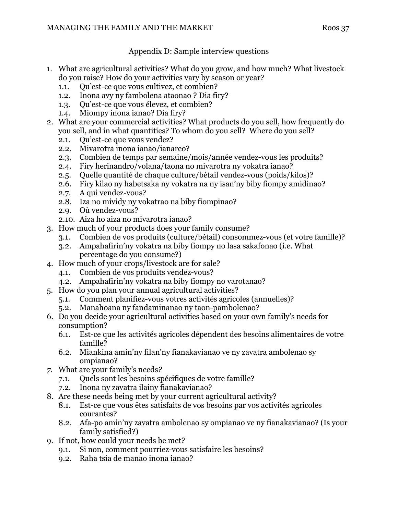## Appendix D: Sample interview questions

- 1. What are agricultural activities? What do you grow, and how much? What livestock do you raise? How do your activities vary by season or year?
	- 1.1. Qu'est-ce que vous cultivez, et combien?
	- 1.2. Inona avy ny fambolena ataonao ? Dia firy?
	- 1.3. Qu'est-ce que vous élevez, et combien?
	- 1.4. Miompy inona ianao? Dia firy?
- 2. What are your commercial activities? What products do you sell, how frequently do you sell, and in what quantities? To whom do you sell? Where do you sell?
	- 2.1. Qu'est-ce que vous vendez?
	- 2.2. Mivarotra inona ianao/ianareo?
	- 2.3. Combien de temps par semaine/mois/année vendez-vous les produits?
	- 2.4. Firy herinandro/volana/taona no mivarotra ny vokatra ianao?
	- 2.5. Quelle quantité de chaque culture/bétail vendez-vous (poids/kilos)?
	- 2.6. Firy kilao ny habetsaka ny vokatra na ny isan'ny biby fiompy amidinao?
	- 2.7. A qui vendez-vous?
	- 2.8. Iza no mividy ny vokatrao na biby fiompinao?
	- 2.9. Où vendez-vous?
	- 2.10. Aiza ho aiza no mivarotra ianao?
- 3. How much of your products does your family consume?
	- 3.1. Combien de vos produits (culture/bétail) consommez-vous (et votre famille)?
	- 3.2. Ampahafirin'ny vokatra na biby fiompy no lasa sakafonao (i.e. What percentage do you consume?)
- 4. How much of your crops/livestock are for sale?
	- 4.1. Combien de vos produits vendez-vous?
	- 4.2. Ampahafirin'ny vokatra na biby fiompy no varotanao?
- 5. How do you plan your annual agricultural activities?
	- 5.1. Comment planifiez-vous votres activités agricoles (annuelles)?
	- 5.2. Manahoana ny fandaminanao ny taon-pambolenao?
- 6. Do you decide your agricultural activities based on your own family's needs for consumption?
	- 6.1. Est-ce que les activités agricoles dépendent des besoins alimentaires de votre famille?
	- 6.2. Miankina amin'ny filan'ny fianakavianao ve ny zavatra ambolenao sy ompianao?
- 7. What are your family's needs?
	- 7.1. Quels sont les besoins spécifiques de votre famille?
	- 7.2. Inona ny zavatra ilainy fianakavianao?
- 8. Are these needs being met by your current agricultural activity?
	- 8.1. Est-ce que vous êtes satisfaits de vos besoins par vos activités agricoles courantes?
	- 8.2. Afa-po amin'ny zavatra ambolenao sy ompianao ve ny fianakavianao? (Is your family satisfied?)
- 9. If not, how could your needs be met?
	- 9.1. Si non, comment pourriez-vous satisfaire les besoins?
	- 9.2. Raha tsia de manao inona ianao?